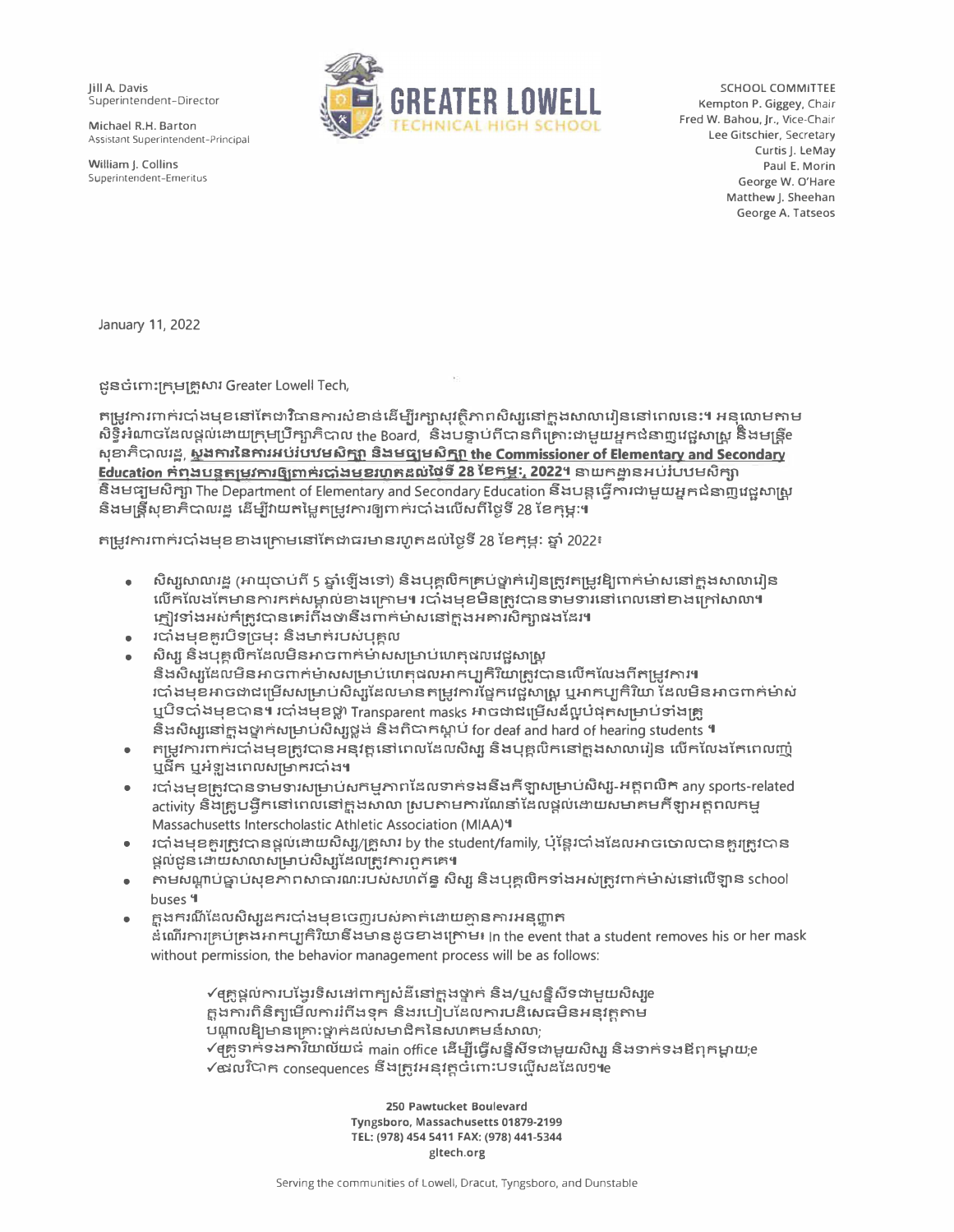**Jill A. Davis** Superintendent-Director

Michael R.H. Barton Assistant Superintendent-Principal

William J. Collins Superintendent-Emeritus



SCHOOL COMMITTEE Kempton P. Giggey, Chair Fred W. Bahou, Jr., Vice-Chair Lee Gitschier, Secretary Curtis J. LeMay Paul E. Morin George W. O'Hare Matthew J. Sheehan George A. Tatseos

January 11, 2022

ជួនចំពោះក្រុមគ្រួសារ Greater Lowell Tech,

តម្រូវការពាក់របាំងមុខនៅតែជាវិធានការសំខាន់ដើម្បីរក្សាសុវត្ថិភាពសិស្សនៅក្នុងសាលារៀននៅពេលនេះ។ អនុលោមតាម សិទ្ធិអំណាចដែលផ្តល់ដោយក្រុមប្រឹក្សាភិបាល the Board, និងបន្ទាប់ពីបានពិគ្រោះជាមួយអ្នកជំនាញវេជ្ជសាស្ត្រ និងមន្ត្រីe សុខាភិបាលរដ្ឋ, ស្នងការនៃការអប់របឋមសិក្សា និងមធ្យមសិក្សា the Commissioner of Elementary and Secondary Education កំពុងបន្តួតម្រូវការឲ្យពាក់របាំងមុខរហូតដល់ថ្ងៃទី 28 ខែកុម្ភៈ, 2022។ នាយកដ្ឋានអប់រំបឋមសិក្សា និងមធ្យមសិក្សា The Department of Elementary and Secondary Education និងបន្តធ្វើការជាមួយអ្នកជំនាញវេជ្ជសាស្ត្រ និងមន្ត្រីសុខាភិបាលរដ្ឋ ដើម្បីវាយតម្លៃតម្រូវការឲ្យពាក់របាំងលើសពីថ្ងៃទី 28 ខែកុម្ភៈ។

តម្រូវការពាក់របាំងមុខខាងក្រោមនៅតែជាធរមានរហូតដល់ថ្ងៃទី 28 ខែកុម្ភ: ឆ្នាំ 2022៖

- សិស្សសាលារដ្ឋ (អាយុចាប់ពី 5 ឆ្នាំឡើងទៅ) និងបុគ្គលិកគ្រប់ថ្នាក់រៀនត្រូវតម្រូវឱ្យពាក់ម៉ាសនៅក្នុងសាលារៀន លើកលែងតែមានការកត់សម្គាល់ខាងក្រោម។ របាំងមុខមិនត្រូវបានទាមទារនៅពេលនៅខាងក្រៅសាលា។ ភ្ញៀវទាំងអស់ក៍ត្រូវបានគេរំពឹងថានឹងពាក់ម៉ាសនៅក្នុងអគារសិក្សាផងដែរ។
- របាំងមុខគួរបិទច្រមុះ និងមាត់របស់បុគ្គល
- សិស្ស និងបន្តលិកដែលមិនអាចពាក់មាសសម្រាប់ហេតុផលវេជ្ជសាស្ត្រ
- និងសិស្សដែលមិនអាចពាក់ម៉ាសសម្រាប់ហេតុផលអាកប្បកិរិយាត្រូវបានលើកលែងពីតម្រូវការ។ របាំងមុខអាចជាជម្រើសសម្រាប់សិស្សដែលមានតម្រូវការផ្នែកវេជ្ជសាស្រ្ត ឬអាកប្បកិរិយា ដែលមិនអាចពាក់ម៉ាស់ ឬបិទបាំងមុខបាន។ របាំងមុខថ្លា Transparent masks អាចជាជម្រើសដ៏ល្អបំផុតសម្រាប់ទាំងគ្រូ និងសិស្សនៅក្នុងថ្នាក់សម្រាប់សិស្សថ្លង់ និងពិបាកស្តាប់ for deaf and hard of hearing students ។
- កម្រូវការពាក់របាំងមុខត្រូវបានអនុវត្តនៅពេលដែលសិស្ស និងបុគ្គលិកនៅក្នុងសាលារៀន លើកលែងតែពេលញុំ ឬជីក ឬអំឡុងពេលសម្រាករបាំង។
- របាំងមុខគ្រូវបានទាមទារសម្រាប់សកម្មភាពដែលទាក់ទងនឹងកីឡាសម្រាប់សិស្ស-អត្តពលិក any sports-related activity និងគ្រូបង្វឹកនៅពេលនៅក្នុងសាលា ស្របតាមការណែនាំដែលផ្តល់ដោយសមាគមកីឡាអគ្គពលកម្ម Massachusetts Interscholastic Athletic Association (MIAA) 4
- របាំងមុខគួរត្រូវបានផ្តល់ដោយសិស្ស/គ្រួសារ by the student/family, ឬន្តែរបាំងដែលអាចចោលបានគួរត្រូវបាន ផ្តល់ជូនដោយសាលាសម្រាប់សិស្សដែលត្រូវការពួកគេ**។**
- តាមសណ្តាប់ធ្នាប់សុខភាពសាធារណៈរបស់សហព័ន្ធ សិស្ស និងបុគ្គលិកទាំងអស់ត្រូវពាក់ម៉ាស់នៅលើឡាន school  $\bullet$ buses 4
- ក្តុងករណីដែលសិស្សនករបាំងមុខចេញរបស់គាត់ដោយគ្មានការអនុញ្ញាត ឌំណើរការគ្រប់គ្រងអាកប្បកិរិយានីងមានដូចខាងក្រោម៖ In the event that a student removes his or her mask without permission, the behavior management process will be as follows:

√ឲគ្លូផ្តល់ការបង្វែរទិសដៅពាក្យសំដីនៅក្នុងថ្នាក់ និង/ឬសន្និសីទជាមួយសិស្សe ក្លុងការពិនិត្យមើលការរំពឹងទុក និងរបៀបដែលការបដិសេធមិនអនុវត្តតាម បណ្តាលឱ្យមានគ្រោះថ្នាក់ដល់សមាជិកនៃសហគមន៍សាលា;  $\checkmark$ අគ្លូទាក់ទងការិយាល័យធំ  $_{\rm main}$  office ដើម្បីធ្វើសន្និសីទជាមួយសិស្ស និងទាក់ទងឳពុកម្តាយ $_{\rm f}$ e  $\checkmark$ ផងលវិបាក consequences នឹងក្រូវអនុវត្តចំពោះបទល្ញើសដដែលៗ៕

> 250 Pawtucket Boulevard Tyngsboro, Massachusetts 01879-2199 TEL: (978) 454 5411 FAX: (978) 441-5344 gltech.org